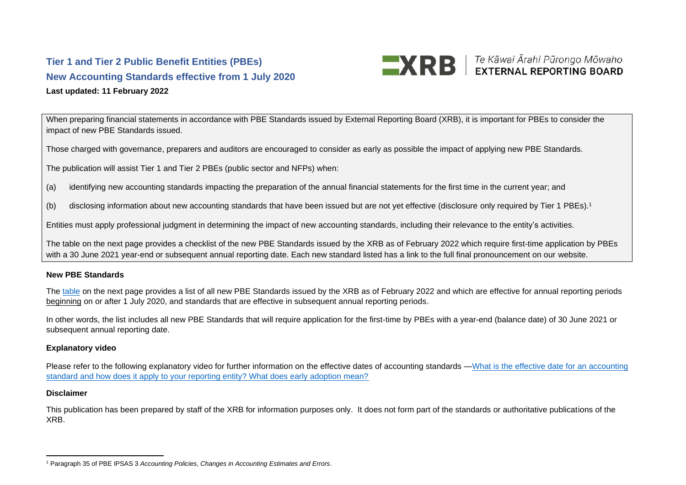## **Tier 1 and Tier 2 Public Benefit Entities (PBEs) New Accounting Standards effective from 1 July 2020 Last updated: 11 February 2022**



When preparing financial statements in accordance with PBE Standards issued by External Reporting Board (XRB), it is important for PBEs to consider the impact of new PBE Standards issued.

Those charged with governance, preparers and auditors are encouraged to consider as early as possible the impact of applying new PBE Standards.

The publication will assist Tier 1 and Tier 2 PBEs (public sector and NFPs) when:

- (a) identifying new accounting standards impacting the preparation of the annual financial statements for the first time in the current year; and
- (b) disclosing information about new accounting standards that have been issued but are not yet effective (disclosure only required by Tier 1 PBEs). 1

Entities must apply professional judgment in determining the impact of new accounting standards, including their relevance to the entity's activities.

The table on the next page provides a checklist of the new PBE Standards issued by the XRB as of February 2022 which require first-time application by PBEs with a 30 June 2021 year-end or subsequent annual reporting date. Each new standard listed has a link to the full final pronouncement on our website.

## **New PBE Standards**

The [table](#page-1-0) on the next page provides a list of all new PBE Standards issued by the XRB as of February 2022 and which are effective for annual reporting periods beginning on or after 1 July 2020, and standards that are effective in subsequent annual reporting periods.

In other words, the list includes all new PBE Standards that will require application for the first-time by PBEs with a year-end (balance date) of 30 June 2021 or subsequent annual reporting date.

## **Explanatory video**

Please refer to the following explanatory video for further information on the effective dates of accounting standards —What is the effective date for an accounting [standard and how does it apply to your reporting entity? What does early adoption mean?](https://www.youtube.com/watch?v=Y0G_lpQHkCA&feature=emb_title)

## **Disclaimer**

This publication has been prepared by staff of the XRB for information purposes only. It does not form part of the standards or authoritative publications of the XRB.

<sup>1</sup> Paragraph 35 of PBE IPSAS 3 *Accounting Policies, Changes in Accounting Estimates and Errors*.